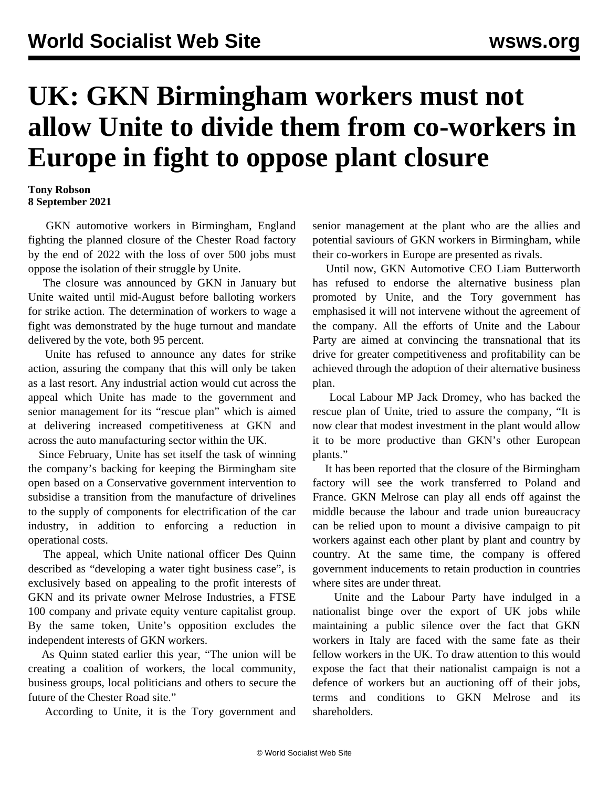## **UK: GKN Birmingham workers must not allow Unite to divide them from co-workers in Europe in fight to oppose plant closure**

## **Tony Robson 8 September 2021**

 GKN automotive workers in Birmingham, England fighting the planned closure of the Chester Road factory by the end of 2022 with the loss of over 500 jobs must oppose the isolation of their struggle by Unite.

 The closure was announced by GKN in January but Unite waited until mid-August before balloting workers for strike action. The determination of workers to wage a fight was demonstrated by the huge turnout and mandate delivered by the vote, both 95 percent.

 Unite has refused to announce any dates for strike action, assuring the company that this will only be taken as a last resort. Any industrial action would cut across the appeal which Unite has made to the government and senior management for its "rescue plan" which is aimed at delivering increased competitiveness at GKN and across the auto manufacturing sector within the UK.

 Since February, Unite has set itself the task of winning the company's backing for keeping the Birmingham site open based on a Conservative government intervention to subsidise a transition from the manufacture of drivelines to the supply of components for electrification of the car industry, in addition to enforcing a reduction in operational costs.

 The appeal, which Unite national officer Des Quinn described as "developing a water tight business case", is exclusively based on appealing to the profit interests of GKN and its private owner Melrose Industries, a FTSE 100 company and private equity venture capitalist group. By the same token, Unite's opposition excludes the independent interests of GKN workers.

 As Quinn stated earlier this year, "The union will be creating a coalition of workers, the local community, business groups, local politicians and others to secure the future of the Chester Road site."

According to Unite, it is the Tory government and

senior management at the plant who are the allies and potential saviours of GKN workers in Birmingham, while their co-workers in Europe are presented as rivals.

 Until now, GKN Automotive CEO Liam Butterworth has refused to endorse the alternative business plan promoted by Unite, and the Tory government has emphasised it will not intervene without the agreement of the company. All the efforts of Unite and the Labour Party are aimed at convincing the transnational that its drive for greater competitiveness and profitability can be achieved through the adoption of their alternative business plan.

 Local Labour MP Jack Dromey, who has backed the rescue plan of Unite, tried to assure the company, "It is now clear that modest investment in the plant would allow it to be more productive than GKN's other European plants."

 It has been reported that the closure of the Birmingham factory will see the work transferred to Poland and France. GKN Melrose can play all ends off against the middle because the labour and trade union bureaucracy can be relied upon to mount a divisive campaign to pit workers against each other plant by plant and country by country. At the same time, the company is offered government inducements to retain production in countries where sites are under threat.

 Unite and the Labour Party have indulged in a nationalist binge over the export of UK jobs while maintaining a public silence over the fact that GKN workers in Italy are faced with the same fate as their fellow workers in the UK. To draw attention to this would expose the fact that their nationalist campaign is not a defence of workers but an auctioning off of their jobs, terms and conditions to GKN Melrose and its shareholders.